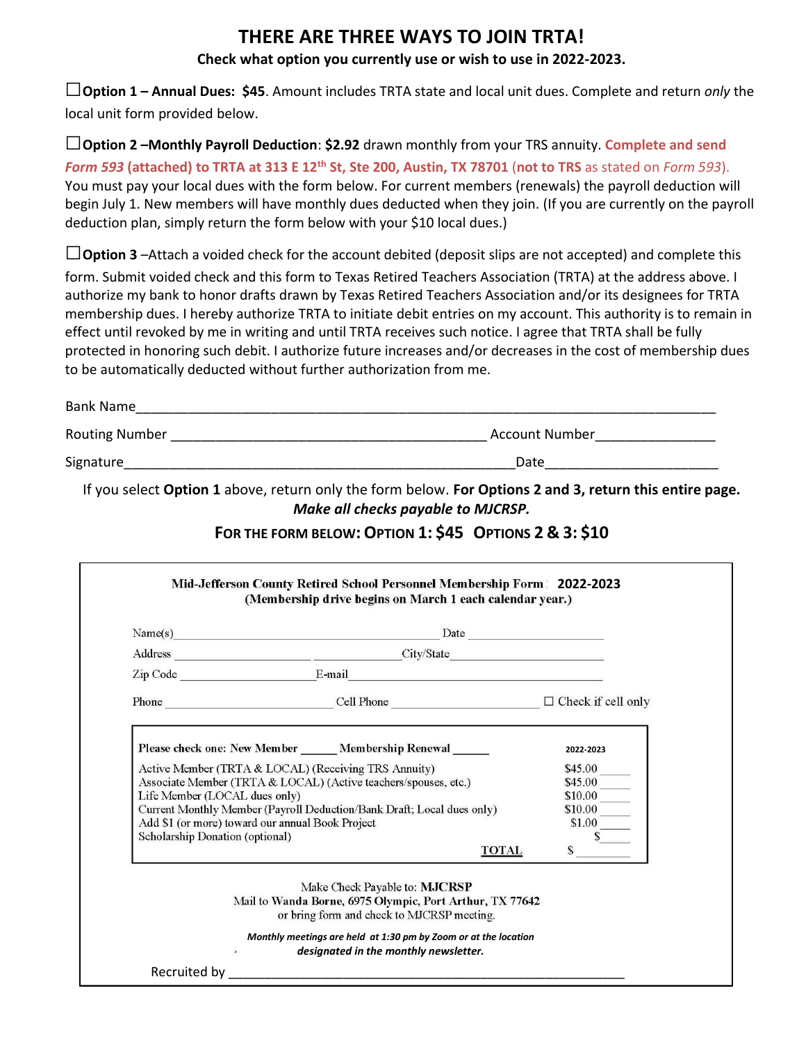# **THERE ARE THREE WAYS TO JOIN TRTA!**

### **Check what option you currently use or wish to use in 2022-2023.**

**□Option 1 – Annual Dues: \$45**. Amount includes TRTA state and local unit dues. Complete and return *only* the local unit form provided below.

**□Option 2 –Monthly Payroll Deduction**: **\$2.92** drawn monthly from your TRS annuity. **Complete and send**  *Form 593* **(attached) to TRTA at 313 E 12th St, Ste 200, Austin, TX 78701** (**not to TRS** as stated on *Form 593*). You must pay your local dues with the form below. For current members (renewals) the payroll deduction will begin July 1. New members will have monthly dues deducted when they join. (If you are currently on the payroll deduction plan, simply return the form below with your \$10 local dues.)

**□Option 3** –Attach a voided check for the account debited (deposit slips are not accepted) and complete this form. Submit voided check and this form to Texas Retired Teachers Association (TRTA) at the address above. I authorize my bank to honor drafts drawn by Texas Retired Teachers Association and/or its designees for TRTA membership dues. I hereby authorize TRTA to initiate debit entries on my account. This authority is to remain in effect until revoked by me in writing and until TRTA receives such notice. I agree that TRTA shall be fully protected in honoring such debit. I authorize future increases and/or decreases in the cost of membership dues to be automatically deducted without further authorization from me.

| Bank Name      |                |  |  |  |
|----------------|----------------|--|--|--|
| Routing Number | Account Number |  |  |  |
| Signature      | Date           |  |  |  |

If you select **Option 1** above, return only the form below. **For Options 2 and 3, return this entire page.** *Make all checks payable to MJCRSP.*

## **FOR THE FORM BELOW:OPTION 1: \$45 OPTIONS 2 & 3: \$10**

|                                                                                     | $Name(s)$ Date                                                                                                                          |                   |
|-------------------------------------------------------------------------------------|-----------------------------------------------------------------------------------------------------------------------------------------|-------------------|
|                                                                                     | Address City/State                                                                                                                      |                   |
|                                                                                     |                                                                                                                                         |                   |
|                                                                                     | Phone $\Box$ Cell Phone $\Box$ Check if cell only                                                                                       |                   |
| Add \$1 (or more) toward our annual Book Project<br>Scholarship Donation (optional) | Current Monthly Member (Payroll Deduction/Bank Draft; Local dues only)<br><b>TOTAL</b>                                                  | \$10.00<br>\$1.00 |
|                                                                                     | Make Check Payable to: MJCRSP<br>Mail to Wanda Borne, 6975 Olympic, Port Arthur, TX 77642<br>or bring form and check to MJCRSP meeting. |                   |
|                                                                                     |                                                                                                                                         |                   |
|                                                                                     | Monthly meetings are held at 1:30 pm by Zoom or at the location<br>designated in the monthly newsletter.                                |                   |